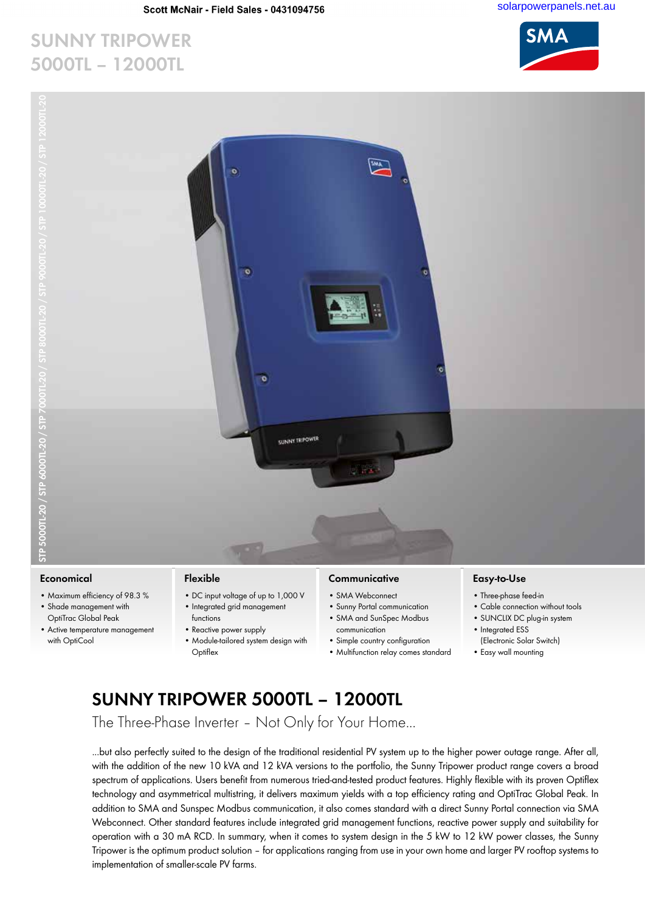ö

ō

SUNNY TRIPOWER

### **Sunny Tripower 5000TL – 12000TL**



#### **Economical**

- Maximum efficiency of 98.3 % • Shade management with
- OptiTrac Global Peak
- Active temperature management with OptiCool

#### **Flexible**

- DC input voltage of up to 1,000 V • Integrated grid management
- functions • Reactive power supply
- Module-tailored system design with **Optiflex**

### **Communicative**

- SMA Webconnect
- Sunny Portal communication

**CHART** 

- SMA and SunSpec Modbus communication
- Simple country configuration
- Multifunction relay comes standard

### **Easy-to-Use**

- Three-phase feed-in
- Cable connection without tools
- SUNCLIX DC plug-in system • Integrated ESS
- (Electronic Solar Switch)
- Easy wall mounting

## **Sunny Tripower 5000TL – 12000TL**

The Three-Phase Inverter – Not Only for Your Home...

...but also perfectly suited to the design of the traditional residential PV system up to the higher power outage range. After all, with the addition of the new 10 kVA and 12 kVA versions to the portfolio, the Sunny Tripower product range covers a broad spectrum of applications. Users benefit from numerous tried-and-tested product features. Highly flexible with its proven Optiflex technology and asymmetrical multistring, it delivers maximum yields with a top efficiency rating and OptiTrac Global Peak. In addition to SMA and Sunspec Modbus communication, it also comes standard with a direct Sunny Portal connection via SMA Webconnect. Other standard features include integrated grid management functions, reactive power supply and suitability for operation with a 30 mA RCD. In summary, when it comes to system design in the 5 kW to 12 kW power classes, the Sunny Tripower is the optimum product solution – for applications ranging from use in your own home and larger PV rooftop systems to implementation of smaller-scale PV farms.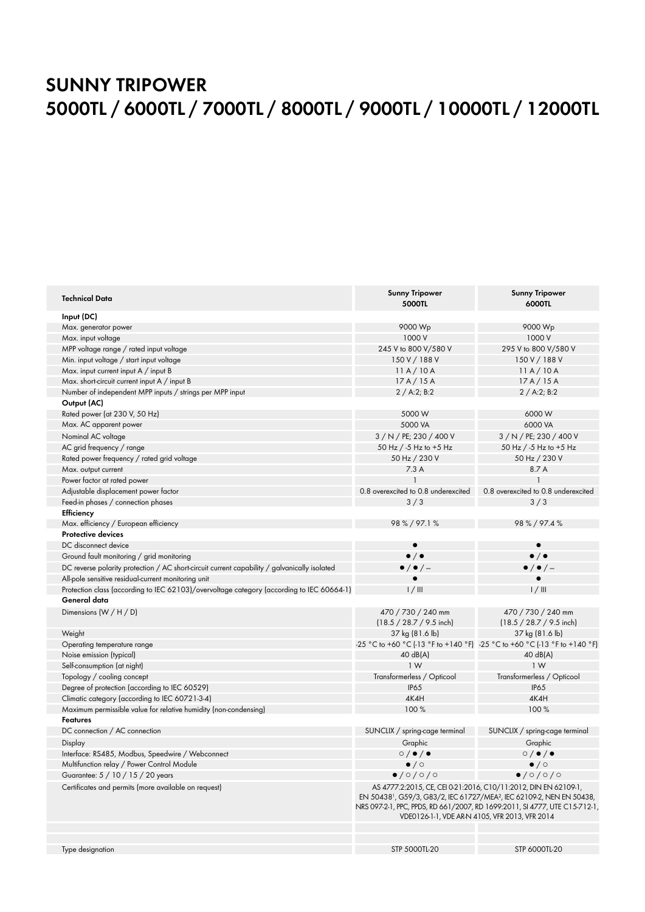### **Sunny Tripower 5000TL / 6000TL / 7000TL / 8000TL / 9000TL / 10000TL / 12000TL**

| <b>Technical Data</b>                                                                        | <b>Sunny Tripower</b><br><b>5000TL</b>                                                                                                                                                                                                                                                           | <b>Sunny Tripower</b><br>6000TL                                           |
|----------------------------------------------------------------------------------------------|--------------------------------------------------------------------------------------------------------------------------------------------------------------------------------------------------------------------------------------------------------------------------------------------------|---------------------------------------------------------------------------|
| Input (DC)                                                                                   |                                                                                                                                                                                                                                                                                                  |                                                                           |
| Max. generator power                                                                         | 9000 Wp                                                                                                                                                                                                                                                                                          | 9000 Wp                                                                   |
| Max. input voltage                                                                           | 1000 V                                                                                                                                                                                                                                                                                           | 1000 V                                                                    |
| MPP voltage range / rated input voltage                                                      | 245 V to 800 V/580 V                                                                                                                                                                                                                                                                             | 295 V to 800 V/580 V                                                      |
| Min. input voltage / start input voltage                                                     | 150 V / 188 V                                                                                                                                                                                                                                                                                    | 150 V / 188 V                                                             |
| Max. input current input A / input B                                                         | 11A/10A                                                                                                                                                                                                                                                                                          | 11A/10A                                                                   |
| Max. short-circuit current input A / input B                                                 | 17A/15A                                                                                                                                                                                                                                                                                          | 17A/15A                                                                   |
| Number of independent MPP inputs / strings per MPP input                                     | 2 / A:2; B:2                                                                                                                                                                                                                                                                                     | 2 / A:2; B:2                                                              |
| Output (AC)                                                                                  |                                                                                                                                                                                                                                                                                                  |                                                                           |
| Rated power (at 230 V, 50 Hz)                                                                | 5000 W                                                                                                                                                                                                                                                                                           | 6000W                                                                     |
| Max. AC apparent power                                                                       | 5000 VA                                                                                                                                                                                                                                                                                          | 6000 VA                                                                   |
| Nominal AC voltage                                                                           | 3 / N / PE; 230 / 400 V                                                                                                                                                                                                                                                                          | 3 / N / PE; 230 / 400 V                                                   |
| AC grid frequency / range                                                                    | 50 Hz / -5 Hz to +5 Hz                                                                                                                                                                                                                                                                           | 50 Hz / -5 Hz to +5 Hz                                                    |
| Rated power frequency / rated grid voltage                                                   | 50 Hz / 230 V                                                                                                                                                                                                                                                                                    | 50 Hz / 230 V                                                             |
| Max. output current                                                                          | 7.3A                                                                                                                                                                                                                                                                                             | 8.7 A                                                                     |
| Power factor at rated power                                                                  |                                                                                                                                                                                                                                                                                                  |                                                                           |
| Adjustable displacement power factor                                                         | 0.8 overexcited to 0.8 underexcited                                                                                                                                                                                                                                                              | 0.8 overexcited to 0.8 underexcited                                       |
| Feed-in phases / connection phases                                                           | 3/3                                                                                                                                                                                                                                                                                              | 3/3                                                                       |
| Efficiency                                                                                   |                                                                                                                                                                                                                                                                                                  |                                                                           |
| Max. efficiency / European efficiency                                                        | 98 % / 97.1 %                                                                                                                                                                                                                                                                                    | 98 % / 97.4 %                                                             |
| <b>Protective devices</b>                                                                    |                                                                                                                                                                                                                                                                                                  |                                                                           |
| DC disconnect device                                                                         |                                                                                                                                                                                                                                                                                                  | $\bullet$                                                                 |
| Ground fault monitoring / grid monitoring                                                    | $\bullet$ / $\bullet$                                                                                                                                                                                                                                                                            | $\bullet$ / $\bullet$                                                     |
| DC reverse polarity protection / AC short-circuit current capability / galvanically isolated | $\bullet$ / $\bullet$ / $-$                                                                                                                                                                                                                                                                      | $\bullet$ / $\bullet$ / $-$                                               |
| All-pole sensitive residual-current monitoring unit                                          |                                                                                                                                                                                                                                                                                                  |                                                                           |
| Protection class (according to IEC 62103)/overvoltage category (according to IEC 60664-1)    | 1/11                                                                                                                                                                                                                                                                                             | 1/111                                                                     |
| General data                                                                                 |                                                                                                                                                                                                                                                                                                  |                                                                           |
| Dimensions $(W / H / D)$                                                                     | 470 / 730 / 240 mm                                                                                                                                                                                                                                                                               | 470 / 730 / 240 mm                                                        |
|                                                                                              | $(18.5 / 28.7 / 9.5$ inch)                                                                                                                                                                                                                                                                       | (18.5 / 28.7 / 9.5 inch)                                                  |
| Weight                                                                                       | 37 kg (81.6 lb)                                                                                                                                                                                                                                                                                  | 37 kg (81.6 lb)                                                           |
| Operating temperature range                                                                  |                                                                                                                                                                                                                                                                                                  | -25 °C to +60 °C (-13 °F to +140 °F) -25 °C to +60 °C (-13 °F to +140 °F) |
| Noise emission (typical)                                                                     | $40 \text{ dB}(A)$                                                                                                                                                                                                                                                                               | 40 dB(A)                                                                  |
| Self-consumption (at night)                                                                  | 1W                                                                                                                                                                                                                                                                                               | 1W                                                                        |
| Topology / cooling concept                                                                   | Transformerless / Opticool                                                                                                                                                                                                                                                                       | Transformerless / Opticool                                                |
| Degree of protection (according to IEC 60529)                                                | <b>IP65</b>                                                                                                                                                                                                                                                                                      | <b>IP65</b>                                                               |
| Climatic category (according to IEC 60721-3-4)                                               | 4K4H                                                                                                                                                                                                                                                                                             | 4K4H                                                                      |
| Maximum permissible value for relative humidity (non-condensing)                             | 100%                                                                                                                                                                                                                                                                                             | 100%                                                                      |
| <b>Features</b>                                                                              |                                                                                                                                                                                                                                                                                                  |                                                                           |
| DC connection / AC connection                                                                | SUNCLIX / spring-cage terminal                                                                                                                                                                                                                                                                   | SUNCLIX / spring-cage terminal                                            |
| Display                                                                                      | Graphic                                                                                                                                                                                                                                                                                          | Graphic                                                                   |
| Interface: RS485, Modbus, Speedwire / Webconnect                                             | $\circ$ / $\bullet$ / $\bullet$                                                                                                                                                                                                                                                                  | $\circ$ / $\bullet$ / $\bullet$                                           |
| Multifunction relay / Power Control Module                                                   | $\bullet$ / $\circ$                                                                                                                                                                                                                                                                              | $\bullet$ / $\circ$                                                       |
| Guarantee: 5 / 10 / 15 / 20 years                                                            | $\bullet$ /0/0/0                                                                                                                                                                                                                                                                                 | $\bullet$ /0/0/0                                                          |
| Certificates and permits (more available on request)                                         | AS 4777.2:2015, CE, CEI 0-21:2016, C10/11:2012, DIN EN 62109-1,<br>EN 50438 <sup>1</sup> , G59/3, G83/2, IEC 61727/MEA <sup>2</sup> , IEC 62109-2, NEN EN 50438,<br>NRS 097-2-1, PPC, PPDS, RD 661/2007, RD 1699:2011, SI 4777, UTE C15-712-1,<br>VDE0126-1-1, VDE AR-N 4105, VFR 2013, VFR 2014 |                                                                           |
|                                                                                              |                                                                                                                                                                                                                                                                                                  |                                                                           |
| Type designation                                                                             | STP 5000TL-20                                                                                                                                                                                                                                                                                    | STP 6000TL-20                                                             |
|                                                                                              |                                                                                                                                                                                                                                                                                                  |                                                                           |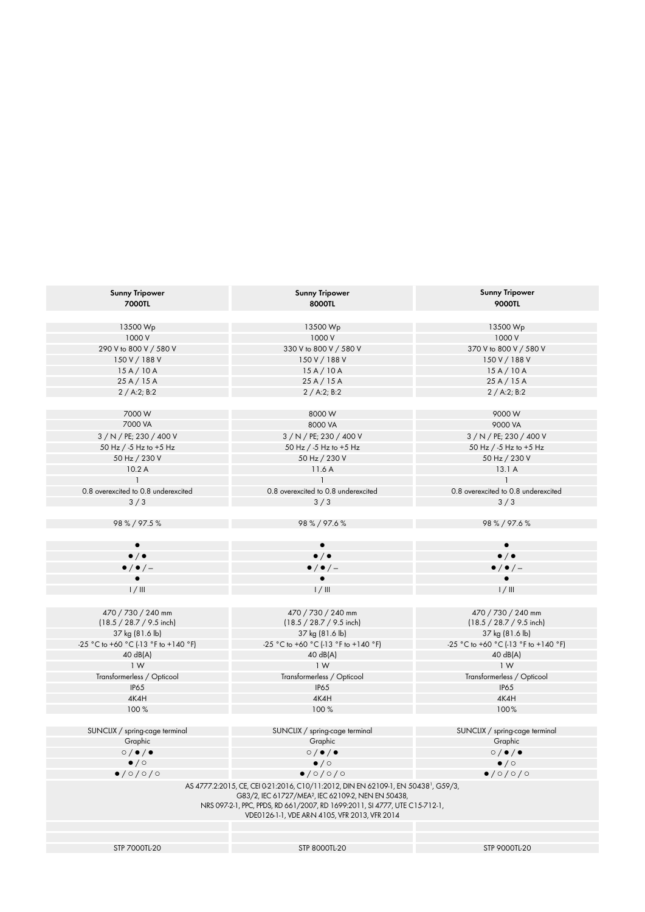| <b>Sunny Tripower</b><br><b>7000TL</b> | <b>Sunny Tripower</b><br>8000TL                                                                                                                                                                                                                                                                  | <b>Sunny Tripower</b><br><b>9000TL</b> |
|----------------------------------------|--------------------------------------------------------------------------------------------------------------------------------------------------------------------------------------------------------------------------------------------------------------------------------------------------|----------------------------------------|
|                                        |                                                                                                                                                                                                                                                                                                  |                                        |
| 13500 Wp                               | 13500 Wp                                                                                                                                                                                                                                                                                         | 13500 Wp                               |
| 1000 V                                 | 1000 V                                                                                                                                                                                                                                                                                           | 1000 V                                 |
| 290 V to 800 V / 580 V                 | 330 V to 800 V / 580 V                                                                                                                                                                                                                                                                           | 370 V to 800 V / 580 V                 |
| 150 V / 188 V                          | 150 V / 188 V                                                                                                                                                                                                                                                                                    | 150 V / 188 V                          |
| 15A/10A                                | 15A/10A                                                                                                                                                                                                                                                                                          | 15A/10A                                |
| 25 A / 15 A                            | 25A/15A                                                                                                                                                                                                                                                                                          | 25A/15A                                |
| 2 / A:2; B:2                           | 2 / A:2; B:2                                                                                                                                                                                                                                                                                     | 2 / A:2; B:2                           |
| 7000 W                                 | 8000 W                                                                                                                                                                                                                                                                                           | 9000W                                  |
| 7000 VA                                | 8000 VA                                                                                                                                                                                                                                                                                          | 9000 VA                                |
|                                        |                                                                                                                                                                                                                                                                                                  |                                        |
| 3 / N / PE; 230 / 400 V                | 3 / N / PE; 230 / 400 V                                                                                                                                                                                                                                                                          | 3 / N / PE; 230 / 400 V                |
| 50 Hz / -5 Hz to +5 Hz                 | 50 Hz / -5 Hz to +5 Hz                                                                                                                                                                                                                                                                           | 50 Hz / -5 Hz to +5 Hz                 |
| 50 Hz / 230 V                          | 50 Hz / 230 V                                                                                                                                                                                                                                                                                    | 50 Hz / 230 V                          |
| 10.2A                                  | 11.6A                                                                                                                                                                                                                                                                                            | 13.1 A                                 |
|                                        |                                                                                                                                                                                                                                                                                                  |                                        |
| 0.8 overexcited to 0.8 underexcited    | 0.8 overexcited to 0.8 underexcited                                                                                                                                                                                                                                                              | 0.8 overexcited to 0.8 underexcited    |
| 3/3                                    | 3/3                                                                                                                                                                                                                                                                                              | 3/3                                    |
|                                        |                                                                                                                                                                                                                                                                                                  |                                        |
| 98 % / 97.5 %                          | 98 % / 97.6 %                                                                                                                                                                                                                                                                                    | 98 % / 97.6 %                          |
|                                        |                                                                                                                                                                                                                                                                                                  |                                        |
| $\bullet$ / $\bullet$                  | $\bullet$ / $\bullet$                                                                                                                                                                                                                                                                            | $\bullet$ / $\bullet$                  |
| $\bullet$ / $\bullet$ / -              | $\bullet$ / $\bullet$ / -                                                                                                                                                                                                                                                                        | $\bullet$ / $\bullet$ / $-$            |
|                                        |                                                                                                                                                                                                                                                                                                  |                                        |
| $1/$ III                               | 1/11                                                                                                                                                                                                                                                                                             | 1/111                                  |
|                                        |                                                                                                                                                                                                                                                                                                  |                                        |
| 470 / 730 / 240 mm                     | 470 / 730 / 240 mm                                                                                                                                                                                                                                                                               | 470 / 730 / 240 mm                     |
| (18.5 / 28.7 / 9.5 inch)               | $(18.5 / 28.7 / 9.5$ inch)                                                                                                                                                                                                                                                                       | (18.5 / 28.7 / 9.5 inch)               |
| 37 kg (81.6 lb)                        | 37 kg (81.6 lb)                                                                                                                                                                                                                                                                                  | 37 kg (81.6 lb)                        |
| -25 °C to +60 °C (-13 °F to +140 °F)   | -25 °C to +60 °C (-13 °F to +140 °F)                                                                                                                                                                                                                                                             | -25 °C to +60 °C (-13 °F to +140 °F)   |
| 40 dB(A)                               | 40 dB(A)                                                                                                                                                                                                                                                                                         | 40 dB(A)                               |
| 1 W                                    | 1 <sub>W</sub>                                                                                                                                                                                                                                                                                   | 1 W                                    |
| Transformerless / Opticool             | Transformerless / Opticool                                                                                                                                                                                                                                                                       | Transformerless / Opticool             |
| <b>IP65</b>                            | <b>IP65</b>                                                                                                                                                                                                                                                                                      | <b>IP65</b>                            |
|                                        |                                                                                                                                                                                                                                                                                                  |                                        |
| 4K4H                                   | 4K4H                                                                                                                                                                                                                                                                                             | 4K4H                                   |
| 100%                                   | 100%                                                                                                                                                                                                                                                                                             | 100%                                   |
| SUNCLIX / spring-cage terminal         | SUNCLIX / spring-cage terminal                                                                                                                                                                                                                                                                   | SUNCLIX / spring-cage terminal         |
| Graphic                                | Graphic                                                                                                                                                                                                                                                                                          | Graphic                                |
|                                        |                                                                                                                                                                                                                                                                                                  |                                        |
| $\circ$ / $\bullet$ / $\bullet$        | $\circ$ / $\bullet$ / $\bullet$                                                                                                                                                                                                                                                                  | $\circ$ / $\bullet$ / $\bullet$        |
| $\bullet$ / $\circ$                    | $\bullet$ / $\circ$                                                                                                                                                                                                                                                                              | $\bullet$ / $\circ$                    |
| $\bullet$ /0/0/0                       | $\bullet$ /0/0/0                                                                                                                                                                                                                                                                                 | $\bullet$ /0/0/0                       |
|                                        | AS 4777.2:2015, CE, CEI 0-21:2016, C10/11:2012, DIN EN 62109-1, EN 50438 <sup>1</sup> , G59/3,<br>G83/2, IEC 61727/MEA <sup>2</sup> , IEC 62109-2, NEN EN 50438,<br>NRS 097-2-1, PPC, PPDS, RD 661/2007, RD 1699:2011, SI 4777, UTE C15-712-1,<br>VDE0126-1-1, VDE AR-N 4105, VFR 2013, VFR 2014 |                                        |
|                                        |                                                                                                                                                                                                                                                                                                  |                                        |
| STP 7000TL-20                          | STP 8000TL-20                                                                                                                                                                                                                                                                                    | STP 9000TL-20                          |
|                                        |                                                                                                                                                                                                                                                                                                  |                                        |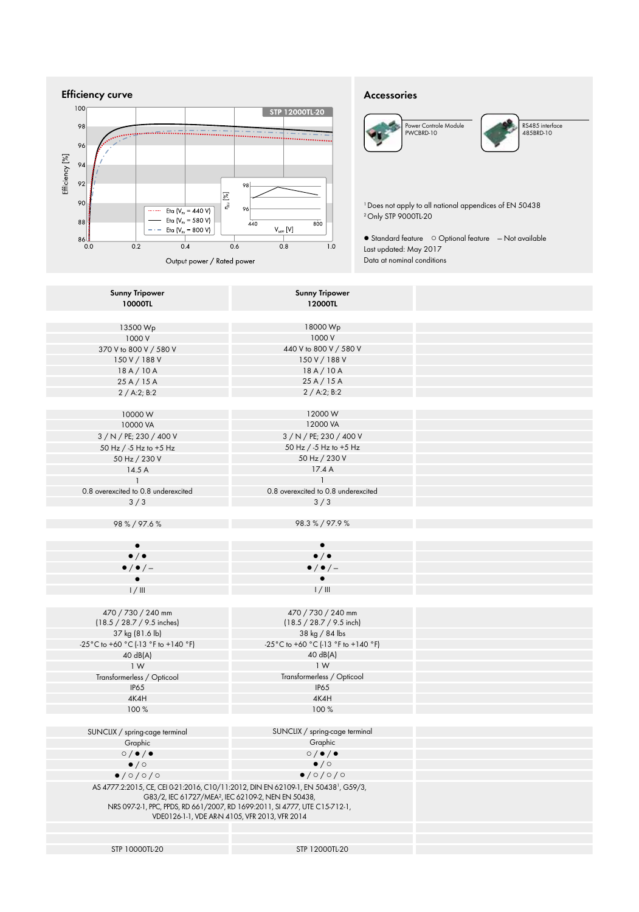

### **Accessories**





RS485 interface 485BRD-10

1  Does not apply to all national appendices of EN 50438 2  Only STP 9000TL-20

● Standard feature ○ Optional feature — Not available Last updated: May 2017 Data at nominal conditions

| <b>Sunny Tripower</b><br><b>10000TL</b>                                                                                                                                                                            | <b>Sunny Tripower</b><br>12000TL                                           |
|--------------------------------------------------------------------------------------------------------------------------------------------------------------------------------------------------------------------|----------------------------------------------------------------------------|
|                                                                                                                                                                                                                    |                                                                            |
| 13500 Wp                                                                                                                                                                                                           | 18000 Wp                                                                   |
| 1000 V                                                                                                                                                                                                             | 1000 V                                                                     |
| 370 V to 800 V / 580 V                                                                                                                                                                                             | 440 V to 800 V / 580 V                                                     |
| 150 V / 188 V                                                                                                                                                                                                      | 150 V / 188 V                                                              |
| 18A/10A                                                                                                                                                                                                            | 18A/10A                                                                    |
| 25A/15A                                                                                                                                                                                                            | 25A/15A                                                                    |
| 2 / A:2; B:2                                                                                                                                                                                                       | 2 / A:2; B:2                                                               |
|                                                                                                                                                                                                                    |                                                                            |
| 10000W                                                                                                                                                                                                             | 12000W                                                                     |
| 10000 VA                                                                                                                                                                                                           | 12000 VA                                                                   |
| 3 / N / PE; 230 / 400 V                                                                                                                                                                                            | 3 / N / PE; 230 / 400 V                                                    |
| 50 Hz / -5 Hz to +5 Hz                                                                                                                                                                                             | 50 Hz / -5 Hz to +5 Hz                                                     |
| 50 Hz / 230 V                                                                                                                                                                                                      | 50 Hz / 230 V                                                              |
| 14.5A                                                                                                                                                                                                              | 17.4A                                                                      |
|                                                                                                                                                                                                                    |                                                                            |
| 0.8 overexcited to 0.8 underexcited                                                                                                                                                                                | 0.8 overexcited to 0.8 underexcited                                        |
| 3/3                                                                                                                                                                                                                | 3/3                                                                        |
|                                                                                                                                                                                                                    |                                                                            |
| 98%/97.6%                                                                                                                                                                                                          | 98.3%/97.9%                                                                |
|                                                                                                                                                                                                                    |                                                                            |
| $\bullet$                                                                                                                                                                                                          |                                                                            |
| $\bullet / \bullet$                                                                                                                                                                                                | $\bullet$ / $\bullet$                                                      |
| $\bullet$ / $\bullet$ / $-$                                                                                                                                                                                        | $\bullet$ / $\bullet$ / $-$                                                |
|                                                                                                                                                                                                                    |                                                                            |
| 1/111                                                                                                                                                                                                              | 1/111                                                                      |
|                                                                                                                                                                                                                    |                                                                            |
| 470 / 730 / 240 mm                                                                                                                                                                                                 | 470 / 730 / 240 mm                                                         |
| $(18.5 / 28.7 / 9.5$ inches)                                                                                                                                                                                       | $(18.5 / 28.7 / 9.5$ inch)                                                 |
| 37 kg (81.6 lb)                                                                                                                                                                                                    | 38 kg / 84 lbs                                                             |
| -25°C to +60 °C (-13 °F to +140 °F)                                                                                                                                                                                | -25°C to +60 °C (-13 °F to +140 °F)                                        |
| 40 dB(A)                                                                                                                                                                                                           | 40 dB(A)                                                                   |
| 1W                                                                                                                                                                                                                 | 1 W                                                                        |
| Transformerless / Opticool                                                                                                                                                                                         | Transformerless / Opticool                                                 |
| <b>IP65</b>                                                                                                                                                                                                        | <b>IP65</b>                                                                |
| 4K4H                                                                                                                                                                                                               | 4K4H                                                                       |
| 100%                                                                                                                                                                                                               | 100%                                                                       |
|                                                                                                                                                                                                                    |                                                                            |
| SUNCLIX / spring-cage terminal                                                                                                                                                                                     | SUNCLIX / spring-cage terminal                                             |
| Graphic                                                                                                                                                                                                            | Graphic                                                                    |
| $\circ$ / $\bullet$ / $\bullet$                                                                                                                                                                                    | $\circ$ / $\bullet$ / $\bullet$                                            |
| $\bullet$ / $\circ$                                                                                                                                                                                                | $\bullet$ / $\circ$                                                        |
| 0/0/0/0                                                                                                                                                                                                            | 0/0/0/0                                                                    |
| AS 4777.2:2015, CE, CEI 0-21:2016, C10/11:2012, DIN EN 62109-1, EN 50438 <sup>1</sup> , G59/3,<br>G83/2, IEC 61727/MEA <sup>2</sup> , IEC 62109-2, NEN EN 50438,<br>VDE0126-1-1, VDE AR-N 4105, VFR 2013, VFR 2014 | NRS 097-2-1, PPC, PPDS, RD 661/2007, RD 1699:2011, SI 4777, UTE C15-712-1, |
|                                                                                                                                                                                                                    |                                                                            |
| STP 10000TL-20                                                                                                                                                                                                     | STP 12000TL-20                                                             |
|                                                                                                                                                                                                                    |                                                                            |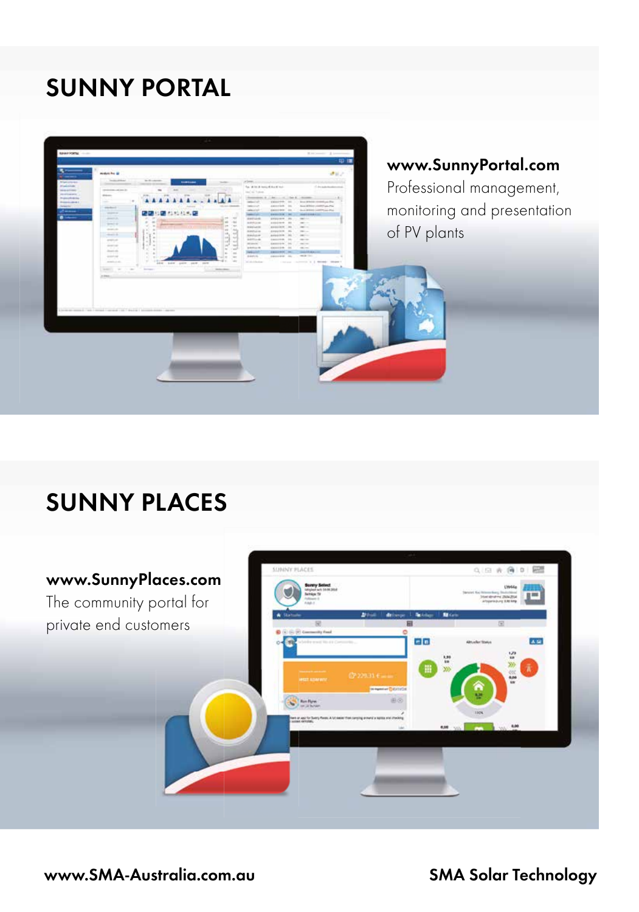# **SUnny porTAL**



## **SUnny pLACES**

### **www.Sunnyplaces.com**

The community portal for private end customers